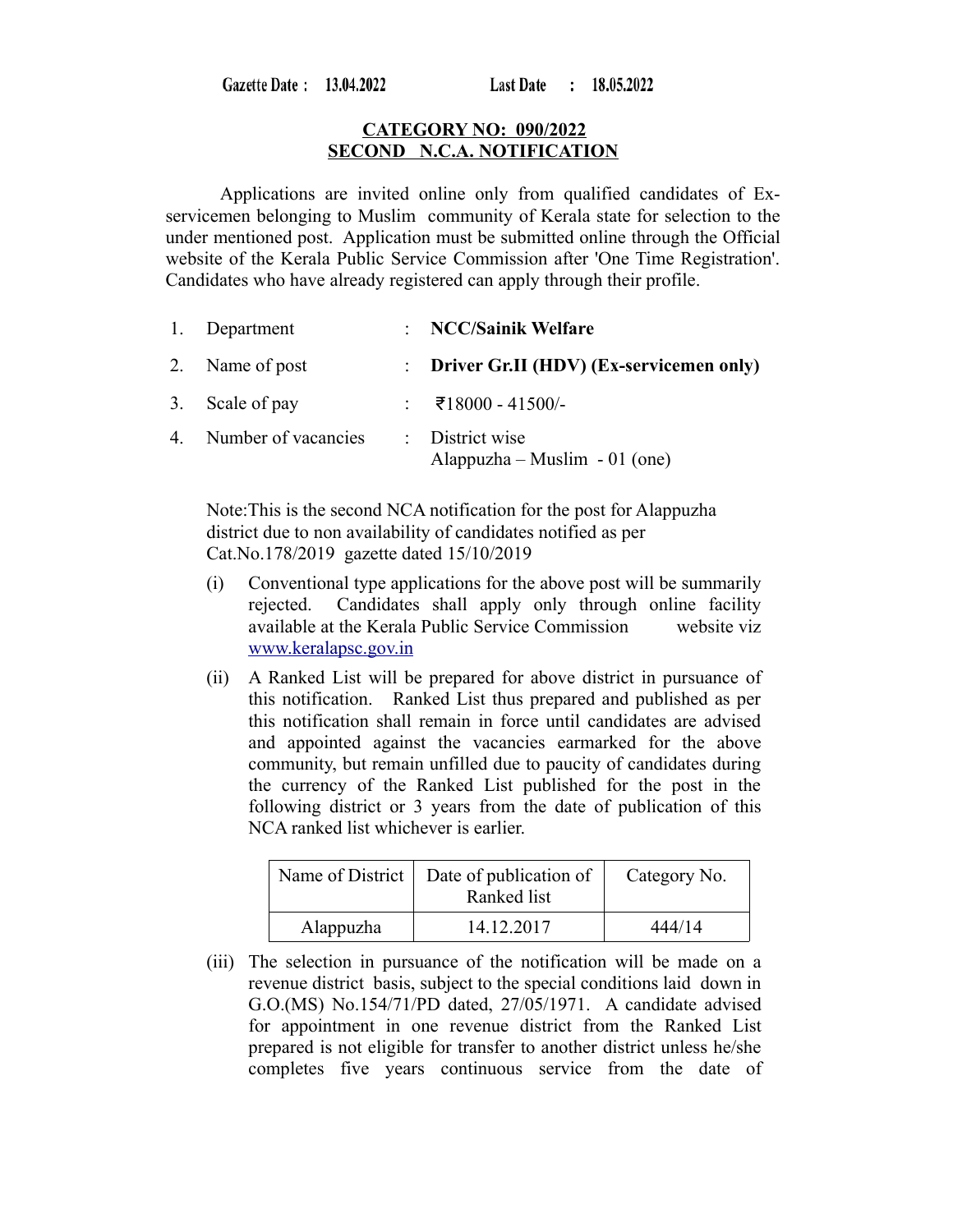Gazette Date: 13.04.2022

#### **CATEGORY NO: 090/2022 SECOND N.C.A. NOTIFICATION**

Applications are invited online only from qualified candidates of Exservicemen belonging to Muslim community of Kerala state for selection to the under mentioned post. Application must be submitted online through the Official website of the Kerala Public Service Commission after 'One Time Registration'. Candidates who have already registered can apply through their profile.

| 1. Department          | : NCC/Sainik Welfare                             |
|------------------------|--------------------------------------------------|
| 2. Name of post        | : Driver Gr.II (HDV) (Ex-servicemen only)        |
| 3. Scale of pay        | : ₹18000 - 41500/-                               |
| 4. Number of vacancies | : District wise<br>Alappuzha – Muslim - 01 (one) |

Note:This is the second NCA notification for the post for Alappuzha district due to non availability of candidates notified as per Cat.No.178/2019 gazette dated 15/10/2019

- (i) Conventional type applications for the above post will be summarily rejected. Candidates shall apply only through online facility available at the Kerala Public Service Commission website viz  [www.keralapsc.g](http://www.keralapsc.org/)ov.in
- (ii) A Ranked List will be prepared for above district in pursuance of this notification. Ranked List thus prepared and published as per this notification shall remain in force until candidates are advised and appointed against the vacancies earmarked for the above community, but remain unfilled due to paucity of candidates during the currency of the Ranked List published for the post in the following district or 3 years from the date of publication of this NCA ranked list whichever is earlier.

| Name of District | Date of publication of<br>Ranked list | Category No. |
|------------------|---------------------------------------|--------------|
| Alappuzha        | 14.12.2017                            | 444/14       |

(iii) The selection in pursuance of the notification will be made on a revenue district basis, subject to the special conditions laid down in G.O.(MS) No.154/71/PD dated, 27/05/1971. A candidate advised for appointment in one revenue district from the Ranked List prepared is not eligible for transfer to another district unless he/she completes five years continuous service from the date of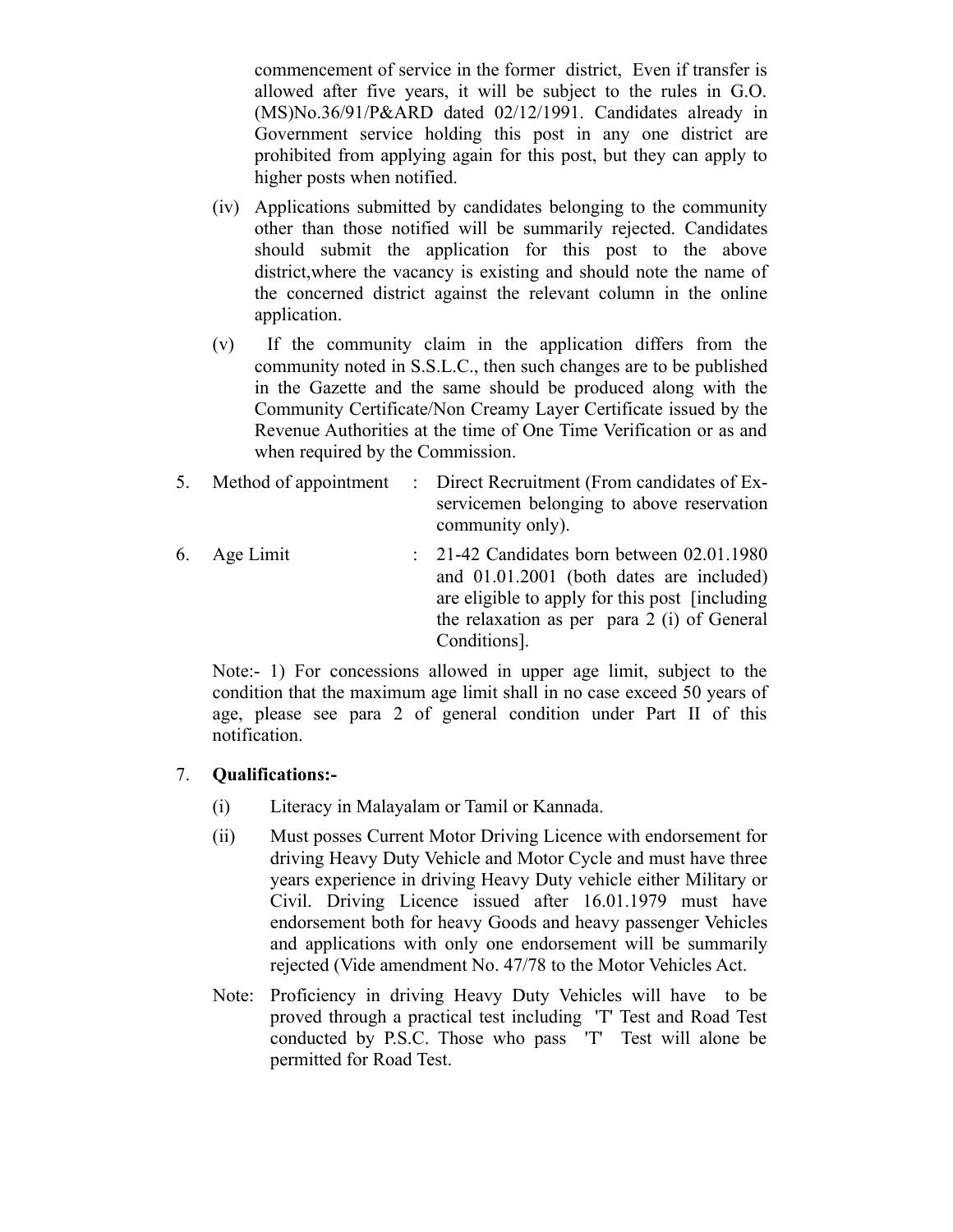commencement of service in the former district, Even if transfer is allowed after five years, it will be subject to the rules in G.O. (MS)No.36/91/P&ARD dated 02/12/1991. Candidates already in Government service holding this post in any one district are prohibited from applying again for this post, but they can apply to higher posts when notified.

- (iv) Applications submitted by candidates belonging to the community other than those notified will be summarily rejected. Candidates should submit the application for this post to the above district,where the vacancy is existing and should note the name of the concerned district against the relevant column in the online application.
- (v) If the community claim in the application differs from the community noted in S.S.L.C., then such changes are to be published in the Gazette and the same should be produced along with the Community Certificate/Non Creamy Layer Certificate issued by the Revenue Authorities at the time of One Time Verification or as and when required by the Commission.
- 5. Method of appointment : Direct Recruitment (From candidates of Exservicemen belonging to above reservation community only).
- 6. Age Limit : 21-42 Candidates born between 02.01.1980 and 01.01.2001 (both dates are included) are eligible to apply for this post [including the relaxation as per para 2 (i) of General Conditions].

Note:- 1) For concessions allowed in upper age limit, subject to the condition that the maximum age limit shall in no case exceed 50 years of age, please see para 2 of general condition under Part II of this notification.

### 7. **Qualifications:-**

- (i) Literacy in Malayalam or Tamil or Kannada.
- (ii) Must posses Current Motor Driving Licence with endorsement for driving Heavy Duty Vehicle and Motor Cycle and must have three years experience in driving Heavy Duty vehicle either Military or Civil. Driving Licence issued after 16.01.1979 must have endorsement both for heavy Goods and heavy passenger Vehicles and applications with only one endorsement will be summarily rejected (Vide amendment No. 47/78 to the Motor Vehicles Act.
- Note: Proficiency in driving Heavy Duty Vehicles will have to be proved through a practical test including 'T' Test and Road Test conducted by P.S.C. Those who pass 'T' Test will alone be permitted for Road Test.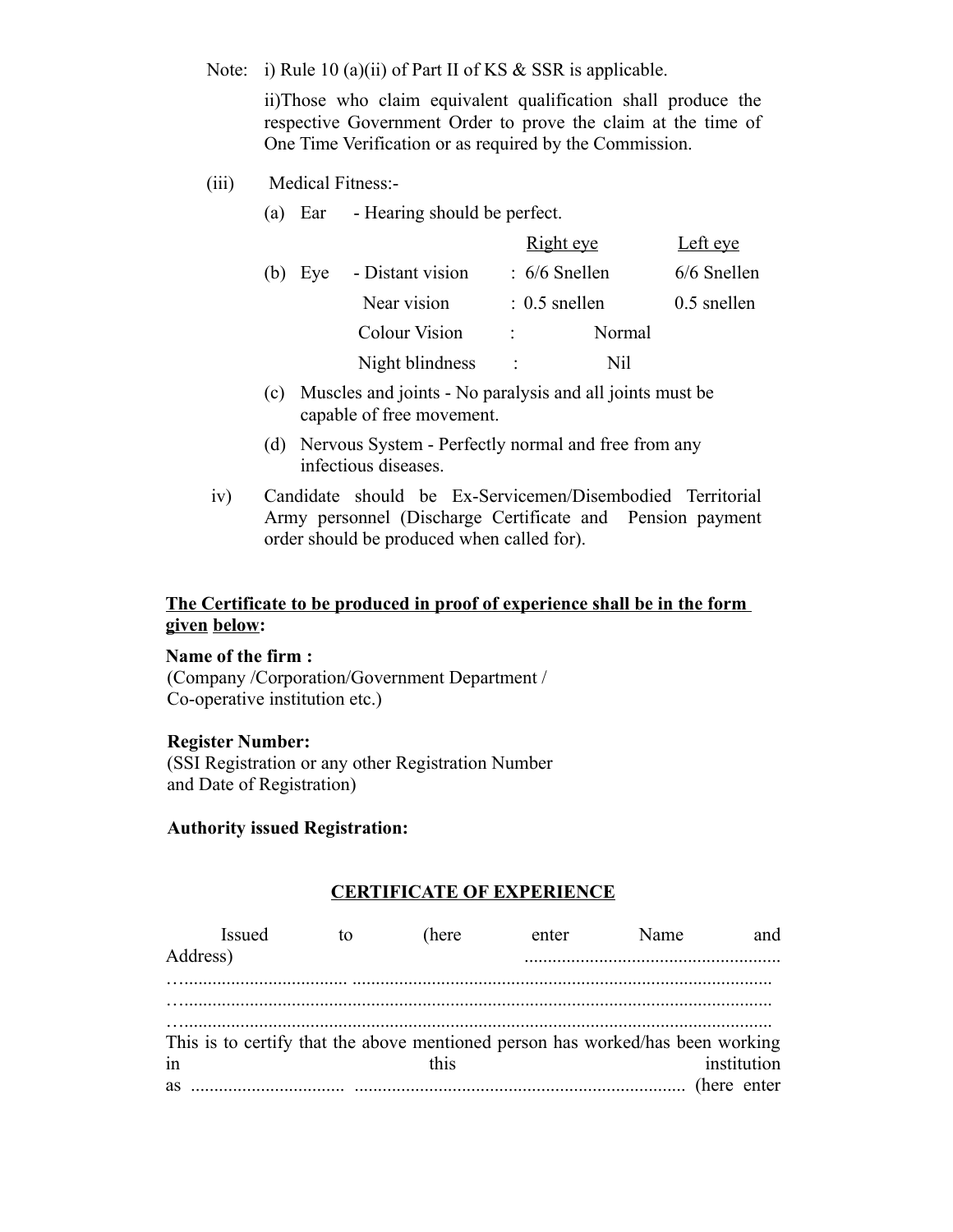Note: i) Rule 10 (a)(ii) of Part II of KS & SSR is applicable.

(a) Ear - Hearing should be perfect.

ii)Those who claim equivalent qualification shall produce the respective Government Order to prove the claim at the time of One Time Verification or as required by the Commission.

(iii) Medical Fitness:-

|            |                      | <b>Right</b> eye | Left eye      |
|------------|----------------------|------------------|---------------|
| (b)<br>Eye | - Distant vision     | $: 6/6$ Snellen  | 6/6 Snellen   |
|            | Near vision          | $: 0.5$ snellen  | $0.5$ snellen |
|            | <b>Colour Vision</b> | Normal<br>÷.,    |               |
|            | Night blindness      | Nil<br>÷         |               |

- (c) Muscles and joints No paralysis and all joints must be capable of free movement.
- (d) Nervous System Perfectly normal and free from any infectious diseases.
- iv) Candidate should be Ex-Servicemen/Disembodied Territorial Army personnel (Discharge Certificate and Pension payment order should be produced when called for).

# **The Certificate to be produced in proof of experience shall be in the form given below:**

#### **Name of the firm :**

(Company /Corporation/Government Department / Co-operative institution etc.)

#### **Register Number:**

(SSI Registration or any other Registration Number and Date of Registration)

### **Authority issued Registration:**

### **CERTIFICATE OF EXPERIENCE**

| Issued<br>Address)                                                             | tο | (here) | enter | Name | and         |
|--------------------------------------------------------------------------------|----|--------|-------|------|-------------|
|                                                                                |    |        |       |      |             |
| This is to certify that the above mentioned person has worked/has been working |    |        |       |      |             |
| in                                                                             |    | this.  |       |      | institution |
| as                                                                             |    |        |       |      |             |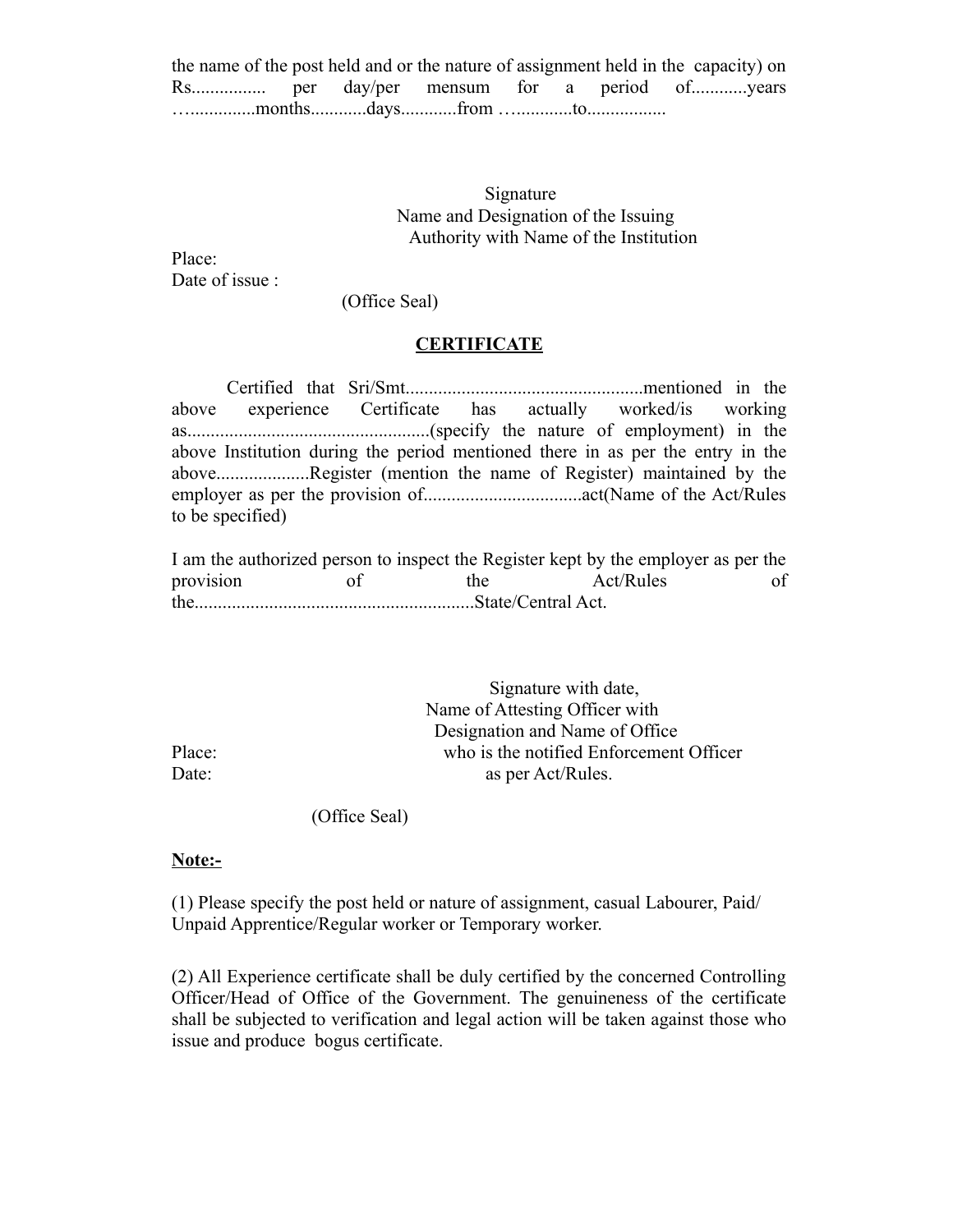| the name of the post held and or the nature of assignment held in the capacity) on |  |  |  |  |
|------------------------------------------------------------------------------------|--|--|--|--|
|                                                                                    |  |  |  |  |
|                                                                                    |  |  |  |  |

#### Signature Name and Designation of the Issuing Authority with Name of the Institution

Place: Date of issue :

(Office Seal)

### **CERTIFICATE**

Certified that Sri/Smt...................................................mentioned in the above experience Certificate has actually worked/is working as....................................................(specify the nature of employment) in the above Institution during the period mentioned there in as per the entry in the above....................Register (mention the name of Register) maintained by the employer as per the provision of..................................act(Name of the Act/Rules to be specified)

I am the authorized person to inspect the Register kept by the employer as per the provision of the Act/Rules of the............................................................State/Central Act.

 Signature with date, Name of Attesting Officer with Designation and Name of Office Place: who is the notified Enforcement Officer Date: as per Act/Rules.

(Office Seal)

#### **Note:-**

(1) Please specify the post held or nature of assignment, casual Labourer, Paid/ Unpaid Apprentice/Regular worker or Temporary worker.

(2) All Experience certificate shall be duly certified by the concerned Controlling Officer/Head of Office of the Government. The genuineness of the certificate shall be subjected to verification and legal action will be taken against those who issue and produce bogus certificate.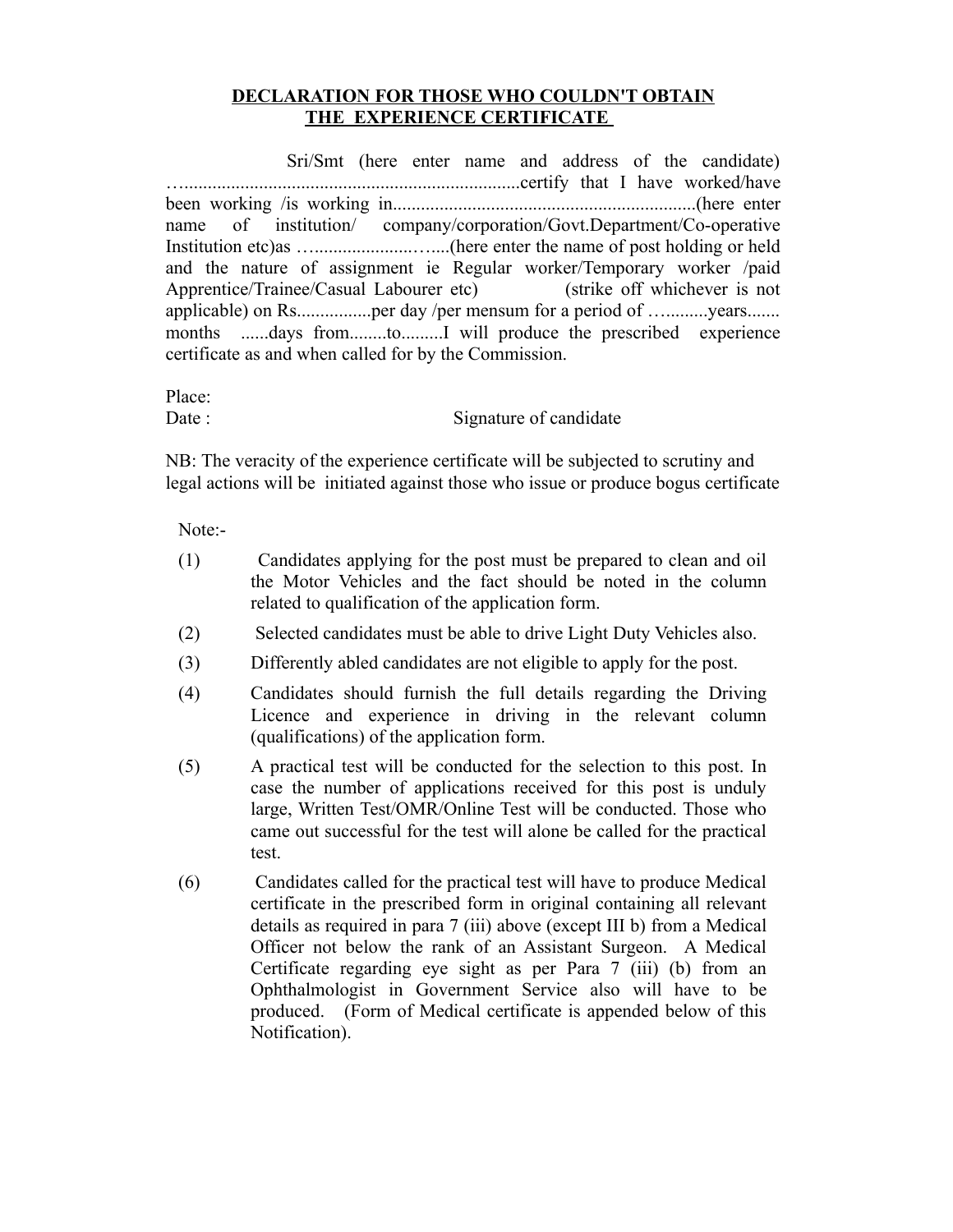## **DECLARATION FOR THOSE WHO COULDN'T OBTAIN THE EXPERIENCE CERTIFICATE**

 Sri/Smt (here enter name and address of the candidate) …........................................................................certify that I have worked/have been working /is working in.................................................................(here enter name of institution/ company/corporation/Govt.Department/Co-operative Institution etc)as ….....................…....(here enter the name of post holding or held and the nature of assignment ie Regular worker/Temporary worker /paid Apprentice/Trainee/Casual Labourer etc) (strike off whichever is not applicable) on Rs..................per day /per mensum for a period of ..............vears....... months ......days from........to.........I will produce the prescribed experience certificate as and when called for by the Commission.

Place:

Date : Signature of candidate

NB: The veracity of the experience certificate will be subjected to scrutiny and legal actions will be initiated against those who issue or produce bogus certificate

Note:-

- (1) Candidates applying for the post must be prepared to clean and oil the Motor Vehicles and the fact should be noted in the column related to qualification of the application form.
- (2) Selected candidates must be able to drive Light Duty Vehicles also.
- (3) Differently abled candidates are not eligible to apply for the post.
- (4) Candidates should furnish the full details regarding the Driving Licence and experience in driving in the relevant column (qualifications) of the application form.
- (5) A practical test will be conducted for the selection to this post. In case the number of applications received for this post is unduly large, Written Test/OMR/Online Test will be conducted. Those who came out successful for the test will alone be called for the practical test.
- (6) Candidates called for the practical test will have to produce Medical certificate in the prescribed form in original containing all relevant details as required in para 7 (iii) above (except III b) from a Medical Officer not below the rank of an Assistant Surgeon. A Medical Certificate regarding eye sight as per Para 7 (iii) (b) from an Ophthalmologist in Government Service also will have to be produced. (Form of Medical certificate is appended below of this Notification).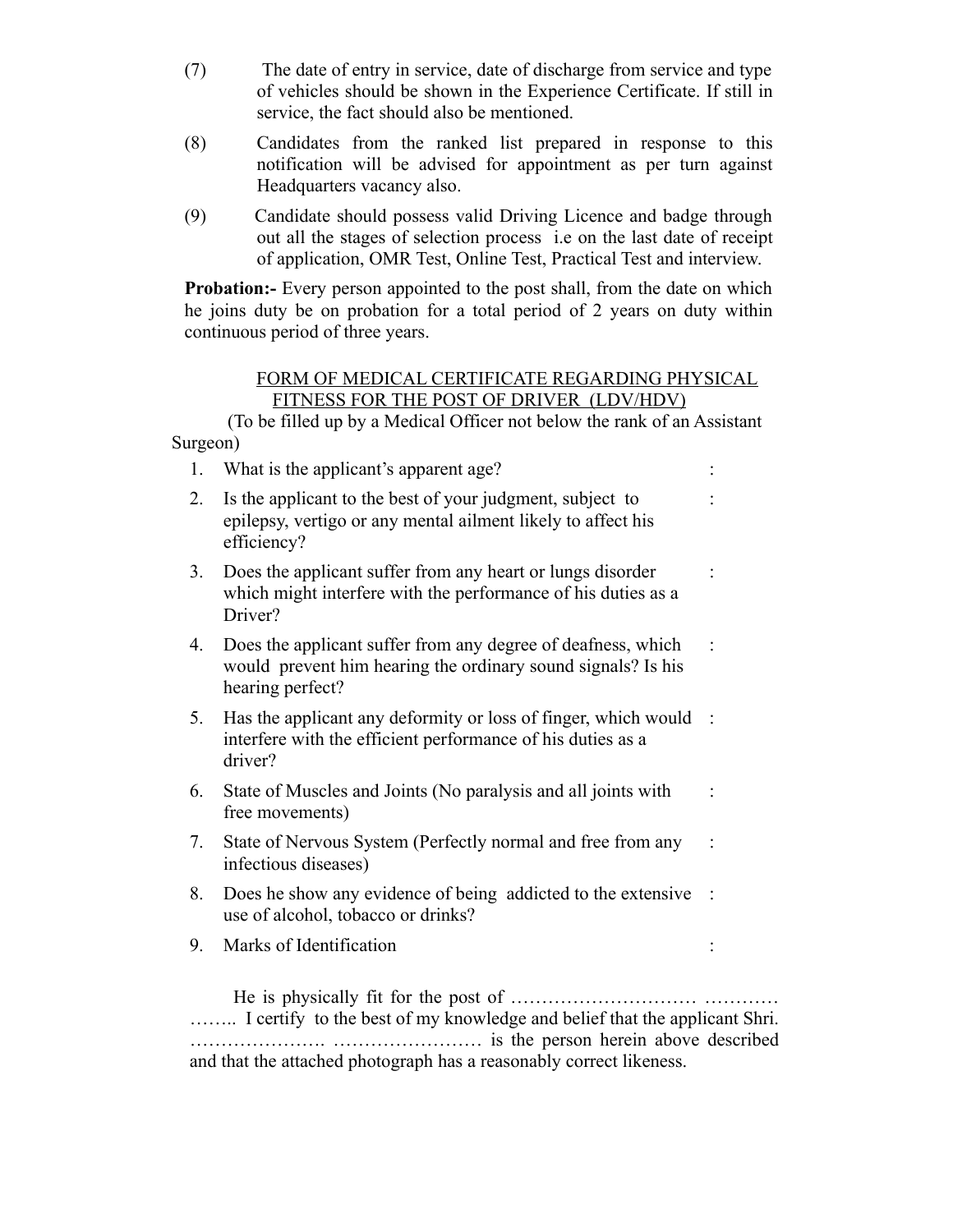- (7) The date of entry in service, date of discharge from service and type of vehicles should be shown in the Experience Certificate. If still in service, the fact should also be mentioned.
- (8) Candidates from the ranked list prepared in response to this notification will be advised for appointment as per turn against Headquarters vacancy also.
- (9) Candidate should possess valid Driving Licence and badge through out all the stages of selection process i.e on the last date of receipt of application, OMR Test, Online Test, Practical Test and interview.

**Probation:**- Every person appointed to the post shall, from the date on which he joins duty be on probation for a total period of 2 years on duty within continuous period of three years.

# FORM OF MEDICAL CERTIFICATE REGARDING PHYSICAL FITNESS FOR THE POST OF DRIVER (LDV/HDV)

(To be filled up by a Medical Officer not below the rank of an Assistant Surgeon)

| 1. | What is the applicant's apparent age?                                                                                                            |                   |
|----|--------------------------------------------------------------------------------------------------------------------------------------------------|-------------------|
| 2. | Is the applicant to the best of your judgment, subject to<br>epilepsy, vertigo or any mental ailment likely to affect his<br>efficiency?         |                   |
| 3. | Does the applicant suffer from any heart or lungs disorder<br>which might interfere with the performance of his duties as a<br>Driver?           |                   |
| 4. | Does the applicant suffer from any degree of deafness, which<br>would prevent him hearing the ordinary sound signals? Is his<br>hearing perfect? |                   |
| 5. | Has the applicant any deformity or loss of finger, which would<br>interfere with the efficient performance of his duties as a<br>driver?         | $\sim$ $^{\circ}$ |
| 6. | State of Muscles and Joints (No paralysis and all joints with<br>free movements)                                                                 |                   |
| 7. | State of Nervous System (Perfectly normal and free from any<br>infectious diseases)                                                              |                   |
| 8. | Does he show any evidence of being addicted to the extensive<br>use of alcohol, tobacco or drinks?                                               |                   |
| 9. | Marks of Identification                                                                                                                          |                   |
|    | He is physically fit for the post of<br>I certify to the best of my knowledge and belief that the applicant Shri.                                |                   |

…………………. …………………… is the person herein above described and that the attached photograph has a reasonably correct likeness.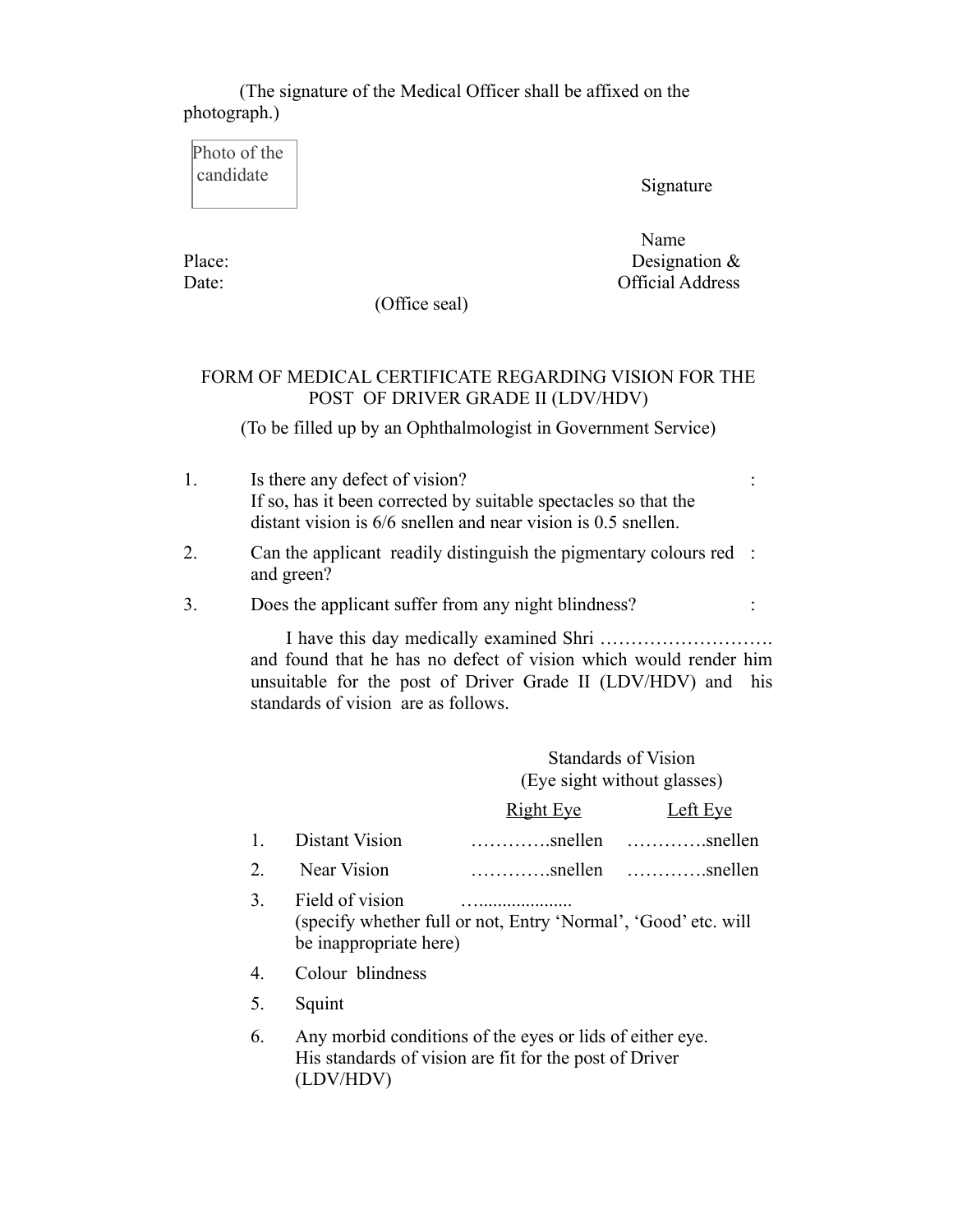(The signature of the Medical Officer shall be affixed on the photograph.)

Photo of the candidate

Signature

Name Name Place: Designation & Date: Official Address

:

(Office seal)

# FORM OF MEDICAL CERTIFICATE REGARDING VISION FOR THE POST OF DRIVER GRADE II (LDV/HDV)

(To be filled up by an Ophthalmologist in Government Service)

- 1. Is there any defect of vision? If so, has it been corrected by suitable spectacles so that the distant vision is 6/6 snellen and near vision is 0.5 snellen.
- 2. Can the applicant readily distinguish the pigmentary colours red : and green?

3. Does the applicant suffer from any night blindness? :

 I have this day medically examined Shri ………………………. and found that he has no defect of vision which would render him unsuitable for the post of Driver Grade II (LDV/HDV) and his standards of vision are as follows.

> Standards of Vision (Eye sight without glasses)

|                  |                                           | <u>Right Eye</u>                                               | Left Eye |
|------------------|-------------------------------------------|----------------------------------------------------------------|----------|
|                  | 1. Distant Vision                         | $\dots\dots\dots\dots$ snellen $\dots\dots\dots\dots$ snellen  |          |
| 2.               | Near Vision                               | $\dots\dots\dots\dots$ snellen $\dots\dots\dots\dots$ snellen  |          |
| 3.               | Field of vision<br>be inappropriate here) | (specify whether full or not, Entry 'Normal', 'Good' etc. will |          |
| $\overline{4}$ . | Colour blindness                          |                                                                |          |
| 5.               | Squint                                    |                                                                |          |
| 6                |                                           | Any morbid conditions of the eyes or lids of either eye        |          |

6. Any morbid conditions of the eyes or lids of either eye. His standards of vision are fit for the post of Driver (LDV/HDV)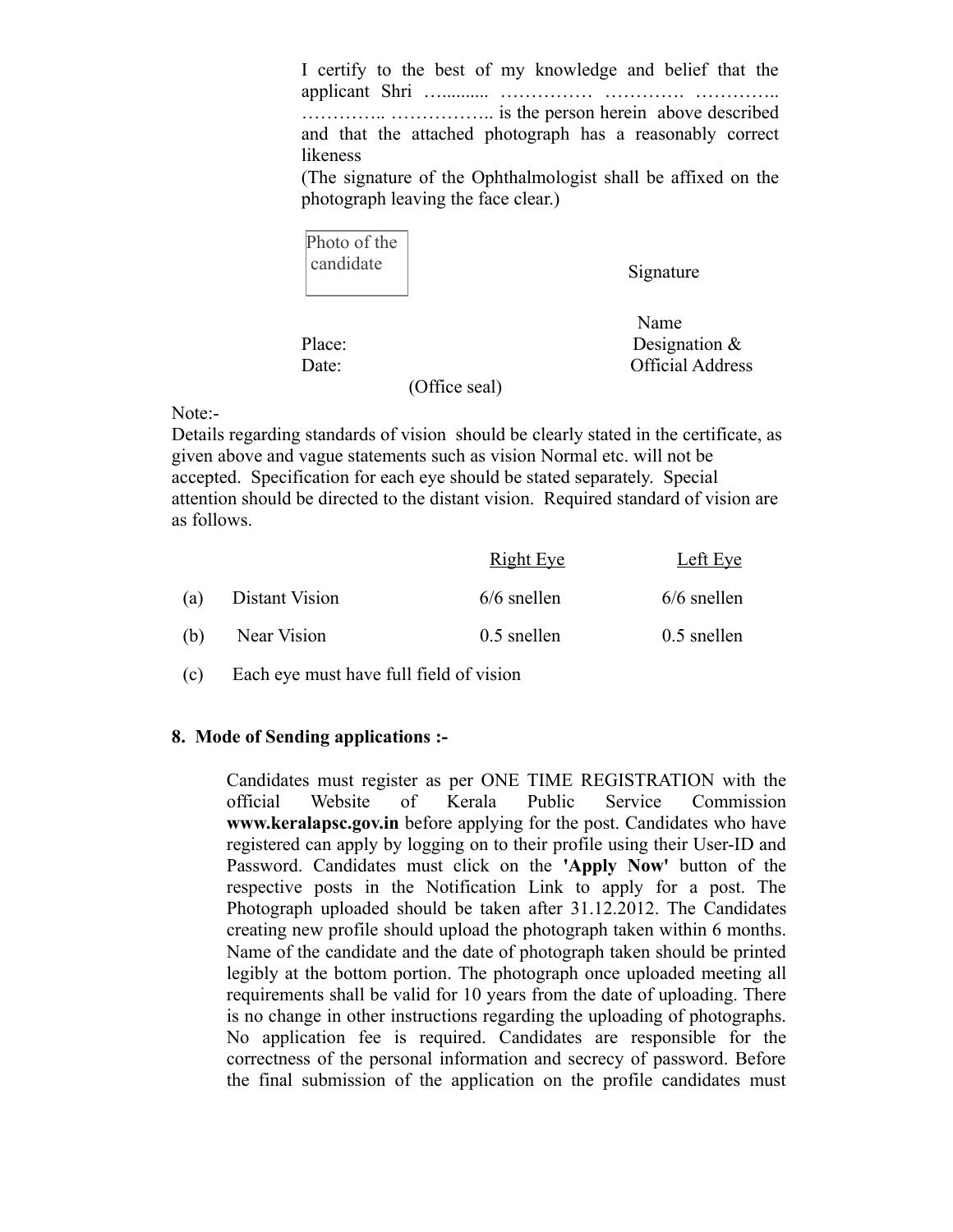I certify to the best of my knowledge and belief that the applicant Shri ….......... …………… …………. ………….. ………….. …………….. is the person herein above described and that the attached photograph has a reasonably correct likeness

(The signature of the Ophthalmologist shall be affixed on the photograph leaving the face clear.)

| Photo of the |
|--------------|
| candidate    |
|              |

Signature

Name

Place: Designation & Date: Official Address

(Office seal)

#### Note:-

Details regarding standards of vision should be clearly stated in the certificate, as given above and vague statements such as vision Normal etc. will not be accepted. Specification for each eye should be stated separately. Special attention should be directed to the distant vision. Required standard of vision are as follows.

|     |                | <b>Right Eye</b> | Left Eye      |
|-----|----------------|------------------|---------------|
| (a) | Distant Vision | $6/6$ snellen    | $6/6$ snellen |
| (b) | Near Vision    | $0.5$ snellen    | $0.5$ snellen |

(c) Each eye must have full field of vision

### **8. Mode of Sending applications :-**

Candidates must register as per ONE TIME REGISTRATION with the official Website of Kerala Public Service Commission **www.keralapsc.gov.in** before applying for the post. Candidates who have registered can apply by logging on to their profile using their User-ID and Password. Candidates must click on the **'Apply Now'** button of the respective posts in the Notification Link to apply for a post. The Photograph uploaded should be taken after 31.12.2012. The Candidates creating new profile should upload the photograph taken within 6 months. Name of the candidate and the date of photograph taken should be printed legibly at the bottom portion. The photograph once uploaded meeting all requirements shall be valid for 10 years from the date of uploading. There is no change in other instructions regarding the uploading of photographs. No application fee is required. Candidates are responsible for the correctness of the personal information and secrecy of password. Before the final submission of the application on the profile candidates must